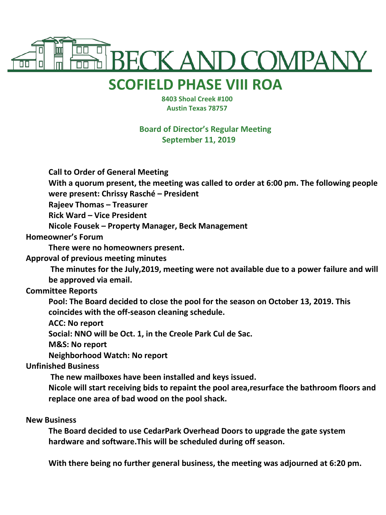

## **SCOFIELD PHASE VIII ROA**

 **8403 Shoal Creek #100 Austin Texas 78757**

**Board of Director's Regular Meeting September 11, 2019**

**Call to Order of General Meeting**

**With a quorum present, the meeting was called to order at 6:00 pm. The following people were present: Chrissy Rasché – President**

**Rajeev Thomas – Treasurer**

**Rick Ward – Vice President**

**Nicole Fousek – Property Manager, Beck Management**

**Homeowner's Forum**

**There were no homeowners present.**

**Approval of previous meeting minutes**

**The minutes for the July,2019, meeting were not available due to a power failure and will be approved via email.**

## **Committee Reports**

**Pool: The Board decided to close the pool for the season on October 13, 2019. This coincides with the off-season cleaning schedule.** 

**ACC: No report**

**Social: NNO will be Oct. 1, in the Creole Park Cul de Sac.**

**M&S: No report**

**Neighborhood Watch: No report**

## **Unfinished Business**

**The new mailboxes have been installed and keys issued.**

**Nicole will start receiving bids to repaint the pool area,resurface the bathroom floors and replace one area of bad wood on the pool shack.**

## **New Business**

**The Board decided to use CedarPark Overhead Doors to upgrade the gate system hardware and software.This will be scheduled during off season.**

**With there being no further general business, the meeting was adjourned at 6:20 pm.**